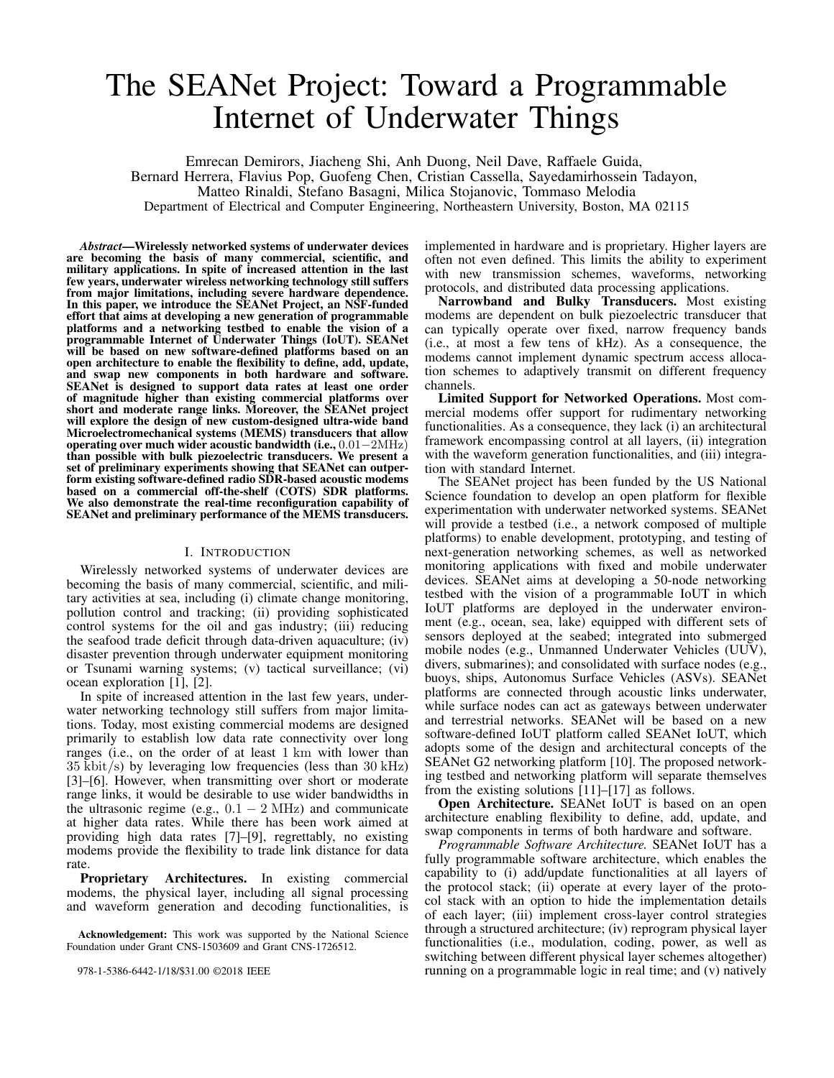# The SEANet Project: Toward a Programmable Internet of Underwater Things

Emrecan Demirors, Jiacheng Shi, Anh Duong, Neil Dave, Raffaele Guida,

Bernard Herrera, Flavius Pop, Guofeng Chen, Cristian Cassella, Sayedamirhossein Tadayon, Matteo Rinaldi, Stefano Basagni, Milica Stojanovic, Tommaso Melodia

Department of Electrical and Computer Engineering, Northeastern University, Boston, MA 02115

*Abstract*—Wirelessly networked systems of underwater devices are becoming the basis of many commercial, scientific, and military applications. In spite of increased attention in the last few years, underwater wireless networking technology still suffers from major limitations, including severe hardware dependence. In this paper, we introduce the SEANet Project, an NSF-funded effort that aims at developing a new generation of programmable platforms and a networking testbed to enable the vision of a programmable Internet of Underwater Things (IoUT). SEANet will be based on new software-defined platforms based on an open architecture to enable the flexibility to define, add, update, and swap new components in both hardware and software. SEANet is designed to support data rates at least one order of magnitude higher than existing commercial platforms over short and moderate range links. Moreover, the SEANet project will explore the design of new custom-designed ultra-wide band Microelectromechanical systems (MEMS) transducers that allow operating over much wider acoustic bandwidth (i.e., 0.01−2MHz) than possible with bulk piezoelectric transducers. We present a set of preliminary experiments showing that SEANet can outperform existing software-defined radio SDR-based acoustic modems based on a commercial off-the-shelf (COTS) SDR platforms. We also demonstrate the real-time reconfiguration capability of SEANet and preliminary performance of the MEMS transducers.

#### I. INTRODUCTION

Wirelessly networked systems of underwater devices are becoming the basis of many commercial, scientific, and military activities at sea, including (i) climate change monitoring, pollution control and tracking; (ii) providing sophisticated control systems for the oil and gas industry; (iii) reducing the seafood trade deficit through data-driven aquaculture; (iv) disaster prevention through underwater equipment monitoring or Tsunami warning systems; (v) tactical surveillance; (vi) ocean exploration [1], [2].

In spite of increased attention in the last few years, underwater networking technology still suffers from major limitations. Today, most existing commercial modems are designed primarily to establish low data rate connectivity over long ranges (i.e., on the order of at least 1 km with lower than  $35 \text{ kbit/s}$ ) by leveraging low frequencies (less than  $30 \text{ kHz}$ ) [3]–[6]. However, when transmitting over short or moderate range links, it would be desirable to use wider bandwidths in the ultrasonic regime (e.g.,  $0.1 - 2 \text{ MHz}$ ) and communicate at higher data rates. While there has been work aimed at providing high data rates [7]–[9], regrettably, no existing modems provide the flexibility to trade link distance for data rate.

Proprietary Architectures. In existing commercial modems, the physical layer, including all signal processing and waveform generation and decoding functionalities, is

978-1-5386-6442-1/18/\$31.00 ©2018 IEEE

implemented in hardware and is proprietary. Higher layers are often not even defined. This limits the ability to experiment with new transmission schemes, waveforms, networking protocols, and distributed data processing applications.

Narrowband and Bulky Transducers. Most existing modems are dependent on bulk piezoelectric transducer that can typically operate over fixed, narrow frequency bands (i.e., at most a few tens of kHz). As a consequence, the modems cannot implement dynamic spectrum access allocation schemes to adaptively transmit on different frequency channels.

Limited Support for Networked Operations. Most commercial modems offer support for rudimentary networking functionalities. As a consequence, they lack (i) an architectural framework encompassing control at all layers, (ii) integration with the waveform generation functionalities, and (iii) integration with standard Internet.

The SEANet project has been funded by the US National Science foundation to develop an open platform for flexible experimentation with underwater networked systems. SEANet will provide a testbed (i.e., a network composed of multiple platforms) to enable development, prototyping, and testing of next-generation networking schemes, as well as networked monitoring applications with fixed and mobile underwater devices. SEANet aims at developing a 50-node networking testbed with the vision of a programmable IoUT in which IoUT platforms are deployed in the underwater environment (e.g., ocean, sea, lake) equipped with different sets of sensors deployed at the seabed; integrated into submerged mobile nodes (e.g., Unmanned Underwater Vehicles (UUV), divers, submarines); and consolidated with surface nodes (e.g., buoys, ships, Autonomus Surface Vehicles (ASVs). SEANet platforms are connected through acoustic links underwater, while surface nodes can act as gateways between underwater and terrestrial networks. SEANet will be based on a new software-defined IoUT platform called SEANet IoUT, which adopts some of the design and architectural concepts of the SEANet G2 networking platform [10]. The proposed networking testbed and networking platform will separate themselves from the existing solutions [11]–[17] as follows.

Open Architecture. SEANet IoUT is based on an open architecture enabling flexibility to define, add, update, and swap components in terms of both hardware and software.

*Programmable Software Architecture.* SEANet IoUT has a fully programmable software architecture, which enables the capability to (i) add/update functionalities at all layers of the protocol stack; (ii) operate at every layer of the protocol stack with an option to hide the implementation details of each layer; (iii) implement cross-layer control strategies through a structured architecture; (iv) reprogram physical layer functionalities (i.e., modulation, coding, power, as well as switching between different physical layer schemes altogether) running on a programmable logic in real time; and (v) natively

Acknowledgement: This work was supported by the National Science Foundation under Grant CNS-1503609 and Grant CNS-1726512.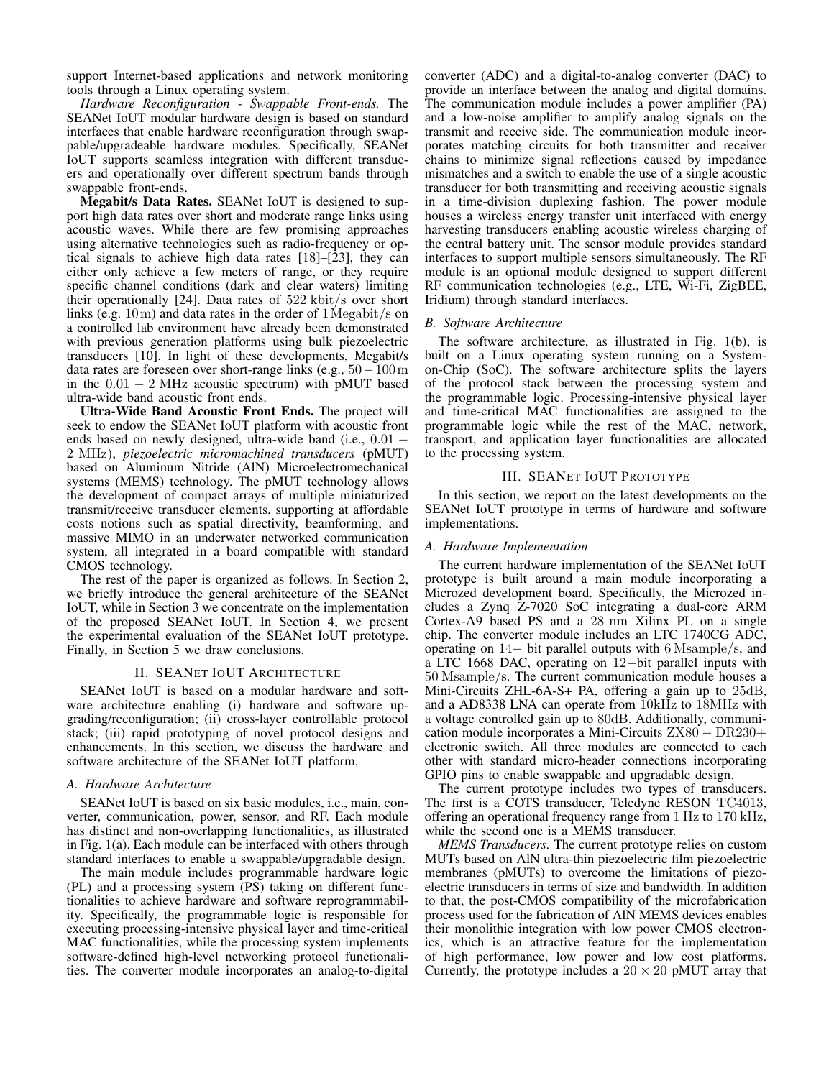support Internet-based applications and network monitoring tools through a Linux operating system.

*Hardware Reconfiguration - Swappable Front-ends.* The SEANet IoUT modular hardware design is based on standard interfaces that enable hardware reconfiguration through swappable/upgradeable hardware modules. Specifically, SEANet IoUT supports seamless integration with different transducers and operationally over different spectrum bands through swappable front-ends.

Megabit/s Data Rates. SEANet IoUT is designed to support high data rates over short and moderate range links using acoustic waves. While there are few promising approaches using alternative technologies such as radio-frequency or optical signals to achieve high data rates [18]–[23], they can either only achieve a few meters of range, or they require specific channel conditions (dark and clear waters) limiting their operationally [24]. Data rates of 522 kbit/s over short links (e.g. 10m) and data rates in the order of 1Megabit/s on a controlled lab environment have already been demonstrated with previous generation platforms using bulk piezoelectric transducers [10]. In light of these developments, Megabit/s data rates are foreseen over short-range links (e.g.,  $50-100\,\mathrm{m}$ ) in the  $0.01 - 2 \text{ MHz}$  acoustic spectrum) with pMUT based ultra-wide band acoustic front ends.

Ultra-Wide Band Acoustic Front Ends. The project will seek to endow the SEANet IoUT platform with acoustic front ends based on newly designed, ultra-wide band (i.e., 0.01 − 2 MHz), *piezoelectric micromachined transducers* (pMUT) based on Aluminum Nitride (AlN) Microelectromechanical systems (MEMS) technology. The pMUT technology allows the development of compact arrays of multiple miniaturized transmit/receive transducer elements, supporting at affordable costs notions such as spatial directivity, beamforming, and massive MIMO in an underwater networked communication system, all integrated in a board compatible with standard CMOS technology.

The rest of the paper is organized as follows. In Section 2, we briefly introduce the general architecture of the SEANet IoUT, while in Section 3 we concentrate on the implementation of the proposed SEANet IoUT. In Section 4, we present the experimental evaluation of the SEANet IoUT prototype. Finally, in Section 5 we draw conclusions.

#### II. SEANET IOUT ARCHITECTURE

SEANet IoUT is based on a modular hardware and software architecture enabling (i) hardware and software upgrading/reconfiguration; (ii) cross-layer controllable protocol stack; (iii) rapid prototyping of novel protocol designs and enhancements. In this section, we discuss the hardware and software architecture of the SEANet IoUT platform.

#### *A. Hardware Architecture*

SEANet IoUT is based on six basic modules, i.e., main, converter, communication, power, sensor, and RF. Each module has distinct and non-overlapping functionalities, as illustrated in Fig. 1(a). Each module can be interfaced with others through standard interfaces to enable a swappable/upgradable design.

The main module includes programmable hardware logic (PL) and a processing system (PS) taking on different functionalities to achieve hardware and software reprogrammability. Specifically, the programmable logic is responsible for executing processing-intensive physical layer and time-critical MAC functionalities, while the processing system implements software-defined high-level networking protocol functionalities. The converter module incorporates an analog-to-digital

converter (ADC) and a digital-to-analog converter (DAC) to provide an interface between the analog and digital domains. The communication module includes a power amplifier (PA) and a low-noise amplifier to amplify analog signals on the transmit and receive side. The communication module incorporates matching circuits for both transmitter and receiver chains to minimize signal reflections caused by impedance mismatches and a switch to enable the use of a single acoustic transducer for both transmitting and receiving acoustic signals in a time-division duplexing fashion. The power module houses a wireless energy transfer unit interfaced with energy harvesting transducers enabling acoustic wireless charging of the central battery unit. The sensor module provides standard interfaces to support multiple sensors simultaneously. The RF module is an optional module designed to support different RF communication technologies (e.g., LTE, Wi-Fi, ZigBEE, Iridium) through standard interfaces.

## *B. Software Architecture*

The software architecture, as illustrated in Fig. 1(b), is built on a Linux operating system running on a Systemon-Chip (SoC). The software architecture splits the layers of the protocol stack between the processing system and the programmable logic. Processing-intensive physical layer and time-critical MAC functionalities are assigned to the programmable logic while the rest of the MAC, network, transport, and application layer functionalities are allocated to the processing system.

#### III. SEANET IOUT PROTOTYPE

In this section, we report on the latest developments on the SEANet IoUT prototype in terms of hardware and software implementations.

### *A. Hardware Implementation*

The current hardware implementation of the SEANet IoUT prototype is built around a main module incorporating a Microzed development board. Specifically, the Microzed includes a Zynq Z-7020 SoC integrating a dual-core ARM Cortex-A9 based PS and a 28 nm Xilinx PL on a single chip. The converter module includes an LTC 1740CG ADC, operating on 14− bit parallel outputs with 6 Msample/s, and a LTC 1668 DAC, operating on 12−bit parallel inputs with 50 Msample/s. The current communication module houses a Mini-Circuits ZHL-6A-S+ PA, offering a gain up to 25dB, and a AD8338 LNA can operate from 10kHz to 18MHz with a voltage controlled gain up to 80dB. Additionally, communication module incorporates a Mini-Circuits ZX80 − DR230+ electronic switch. All three modules are connected to each other with standard micro-header connections incorporating GPIO pins to enable swappable and upgradable design.

The current prototype includes two types of transducers. The first is a COTS transducer, Teledyne RESON TC4013, offering an operational frequency range from 1 Hz to 170 kHz, while the second one is a MEMS transducer.

*MEMS Transducers.* The current prototype relies on custom MUTs based on AlN ultra-thin piezoelectric film piezoelectric membranes (pMUTs) to overcome the limitations of piezoelectric transducers in terms of size and bandwidth. In addition to that, the post-CMOS compatibility of the microfabrication process used for the fabrication of AlN MEMS devices enables their monolithic integration with low power CMOS electronics, which is an attractive feature for the implementation of high performance, low power and low cost platforms. Currently, the prototype includes a  $20 \times 20$  pMUT array that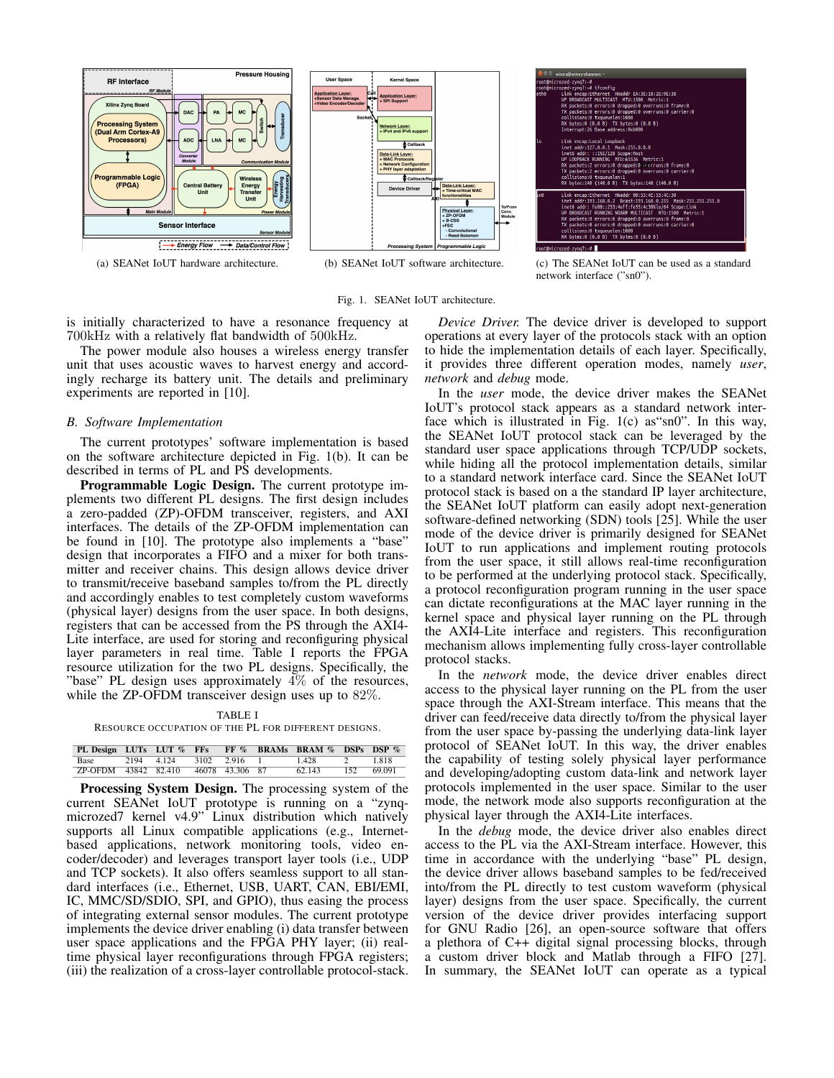



(a) SEANet IoUT hardware architecture. (b) SEANet IoUT software architecture. (c) The SEANet IoUT can be used as a standard

Fig. 1. SEANet IoUT architecture.

is initially characterized to have a resonance frequency at 700kHz with a relatively flat bandwidth of 500kHz.

The power module also houses a wireless energy transfer unit that uses acoustic waves to harvest energy and accordingly recharge its battery unit. The details and preliminary experiments are reported in [10].

#### *B. Software Implementation*

The current prototypes' software implementation is based on the software architecture depicted in Fig. 1(b). It can be described in terms of PL and PS developments.

Programmable Logic Design. The current prototype implements two different PL designs. The first design includes a zero-padded (ZP)-OFDM transceiver, registers, and AXI interfaces. The details of the ZP-OFDM implementation can be found in [10]. The prototype also implements a "base" design that incorporates a FIFO and a mixer for both transmitter and receiver chains. This design allows device driver to transmit/receive baseband samples to/from the PL directly and accordingly enables to test completely custom waveforms (physical layer) designs from the user space. In both designs, registers that can be accessed from the PS through the AXI4- Lite interface, are used for storing and reconfiguring physical layer parameters in real time. Table I reports the FPGA resource utilization for the two PL designs. Specifically, the "base" PL design uses approximately 4% of the resources, while the ZP-OFDM transceiver design uses up to 82%.

#### TABLE I

RESOURCE OCCUPATION OF THE PL FOR DIFFERENT DESIGNS.

|                      |            |                 | PL Design LUTs LUT % FFs FF % BRAMs BRAM % DSPs DSP % |     |        |
|----------------------|------------|-----------------|-------------------------------------------------------|-----|--------|
| Base                 | 2194 4.124 | 3102 2.916      | 1.428                                                 |     | 1818   |
| ZP-OFDM 43842 82.410 |            | 46078 43.306 87 | 62.143                                                | 152 | 69.091 |

Processing System Design. The processing system of the current SEANet IoUT prototype is running on a "zynqmicrozed7 kernel v4.9" Linux distribution which natively supports all Linux compatible applications (e.g., Internetbased applications, network monitoring tools, video encoder/decoder) and leverages transport layer tools (i.e., UDP and TCP sockets). It also offers seamless support to all standard interfaces (i.e., Ethernet, USB, UART, CAN, EBI/EMI, IC, MMC/SD/SDIO, SPI, and GPIO), thus easing the process of integrating external sensor modules. The current prototype implements the device driver enabling (i) data transfer between user space applications and the FPGA PHY layer; (ii) realtime physical layer reconfigurations through FPGA registers; (iii) the realization of a cross-layer controllable protocol-stack.

*Device Driver.* The device driver is developed to support operations at every layer of the protocols stack with an option to hide the implementation details of each layer. Specifically, it provides three different operation modes, namely *user*,

*network* and *debug* mode. In the *user* mode, the device driver makes the SEANet IoUT's protocol stack appears as a standard network interface which is illustrated in Fig. 1(c) as"sn0". In this way, the SEANet IoUT protocol stack can be leveraged by the standard user space applications through TCP/UDP sockets, while hiding all the protocol implementation details, similar to a standard network interface card. Since the SEANet IoUT protocol stack is based on a the standard IP layer architecture, the SEANet IoUT platform can easily adopt next-generation software-defined networking (SDN) tools [25]. While the user mode of the device driver is primarily designed for SEANet IoUT to run applications and implement routing protocols from the user space, it still allows real-time reconfiguration to be performed at the underlying protocol stack. Specifically, a protocol reconfiguration program running in the user space can dictate reconfigurations at the MAC layer running in the kernel space and physical layer running on the PL through the AXI4-Lite interface and registers. This reconfiguration mechanism allows implementing fully cross-layer controllable protocol stacks.

In the *network* mode, the device driver enables direct access to the physical layer running on the PL from the user space through the AXI-Stream interface. This means that the driver can feed/receive data directly to/from the physical layer from the user space by-passing the underlying data-link layer protocol of SEANet IoUT. In this way, the driver enables the capability of testing solely physical layer performance and developing/adopting custom data-link and network layer protocols implemented in the user space. Similar to the user mode, the network mode also supports reconfiguration at the physical layer through the AXI4-Lite interfaces.

In the *debug* mode, the device driver also enables direct access to the PL via the AXI-Stream interface. However, this time in accordance with the underlying "base" PL design, the device driver allows baseband samples to be fed/received into/from the PL directly to test custom waveform (physical layer) designs from the user space. Specifically, the current version of the device driver provides interfacing support for GNU Radio [26], an open-source software that offers a plethora of C++ digital signal processing blocks, through a custom driver block and Matlab through a FIFO [27]. In summary, the SEANet IoUT can operate as a typical

network interface ("sn0").

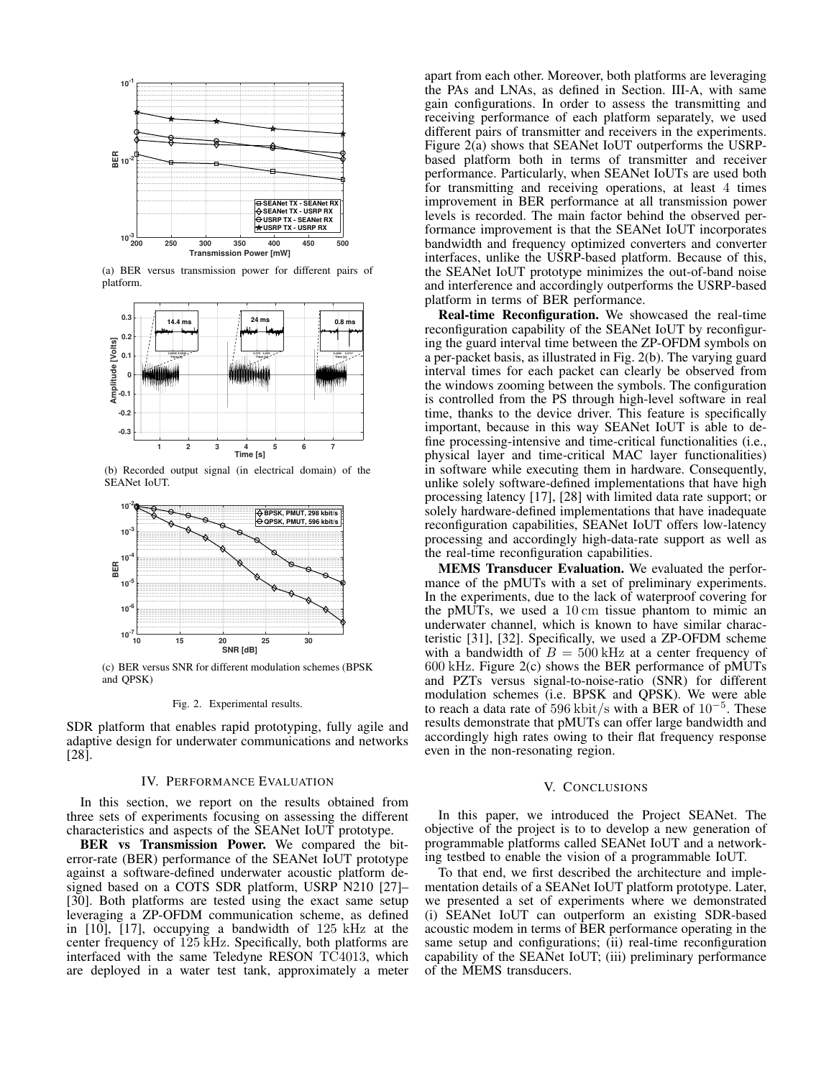

(a) BER versus transmission power for different pairs of platform.



(b) Recorded output signal (in electrical domain) of the SEANet IoUT.



(c) BER versus SNR for different modulation schemes (BPSK and QPSK)

Fig. 2. Experimental results.

SDR platform that enables rapid prototyping, fully agile and adaptive design for underwater communications and networks [28].

#### IV. PERFORMANCE EVALUATION

In this section, we report on the results obtained from three sets of experiments focusing on assessing the different characteristics and aspects of the SEANet IoUT prototype.

BER vs Transmission Power. We compared the biterror-rate (BER) performance of the SEANet IoUT prototype against a software-defined underwater acoustic platform designed based on a COTS SDR platform, USRP N210 [27]– [30]. Both platforms are tested using the exact same setup leveraging a ZP-OFDM communication scheme, as defined in [10], [17], occupying a bandwidth of 125 kHz at the center frequency of 125 kHz. Specifically, both platforms are interfaced with the same Teledyne RESON TC4013, which are deployed in a water test tank, approximately a meter

apart from each other. Moreover, both platforms are leveraging the PAs and LNAs, as defined in Section. III-A, with same gain configurations. In order to assess the transmitting and receiving performance of each platform separately, we used different pairs of transmitter and receivers in the experiments. Figure 2(a) shows that SEANet IoUT outperforms the USRPbased platform both in terms of transmitter and receiver performance. Particularly, when SEANet IoUTs are used both for transmitting and receiving operations, at least 4 times improvement in BER performance at all transmission power levels is recorded. The main factor behind the observed performance improvement is that the SEANet IoUT incorporates bandwidth and frequency optimized converters and converter interfaces, unlike the USRP-based platform. Because of this, the SEANet IoUT prototype minimizes the out-of-band noise and interference and accordingly outperforms the USRP-based platform in terms of BER performance.

Real-time Reconfiguration. We showcased the real-time reconfiguration capability of the SEANet IoUT by reconfiguring the guard interval time between the ZP-OFDM symbols on a per-packet basis, as illustrated in Fig. 2(b). The varying guard interval times for each packet can clearly be observed from the windows zooming between the symbols. The configuration is controlled from the PS through high-level software in real time, thanks to the device driver. This feature is specifically important, because in this way SEANet IoUT is able to define processing-intensive and time-critical functionalities (i.e., physical layer and time-critical MAC layer functionalities) in software while executing them in hardware. Consequently, unlike solely software-defined implementations that have high processing latency [17], [28] with limited data rate support; or solely hardware-defined implementations that have inadequate reconfiguration capabilities, SEANet IoUT offers low-latency processing and accordingly high-data-rate support as well as the real-time reconfiguration capabilities.

MEMS Transducer Evaluation. We evaluated the performance of the pMUTs with a set of preliminary experiments. In the experiments, due to the lack of waterproof covering for the pMUTs, we used a 10 cm tissue phantom to mimic an underwater channel, which is known to have similar characteristic [31], [32]. Specifically, we used a ZP-OFDM scheme with a bandwidth of  $B = 500$  kHz at a center frequency of 600 kHz. Figure 2(c) shows the BER performance of pMUTs and PZTs versus signal-to-noise-ratio (SNR) for different modulation schemes (i.e. BPSK and QPSK). We were able to reach a data rate of 596 kbit/s with a BER of  $10^{-5}$ . These results demonstrate that pMUTs can offer large bandwidth and accordingly high rates owing to their flat frequency response even in the non-resonating region.

### V. CONCLUSIONS

In this paper, we introduced the Project SEANet. The objective of the project is to to develop a new generation of programmable platforms called SEANet IoUT and a networking testbed to enable the vision of a programmable IoUT.

To that end, we first described the architecture and implementation details of a SEANet IoUT platform prototype. Later, we presented a set of experiments where we demonstrated (i) SEANet IoUT can outperform an existing SDR-based acoustic modem in terms of BER performance operating in the same setup and configurations; (ii) real-time reconfiguration capability of the SEANet IoUT; (iii) preliminary performance of the MEMS transducers.